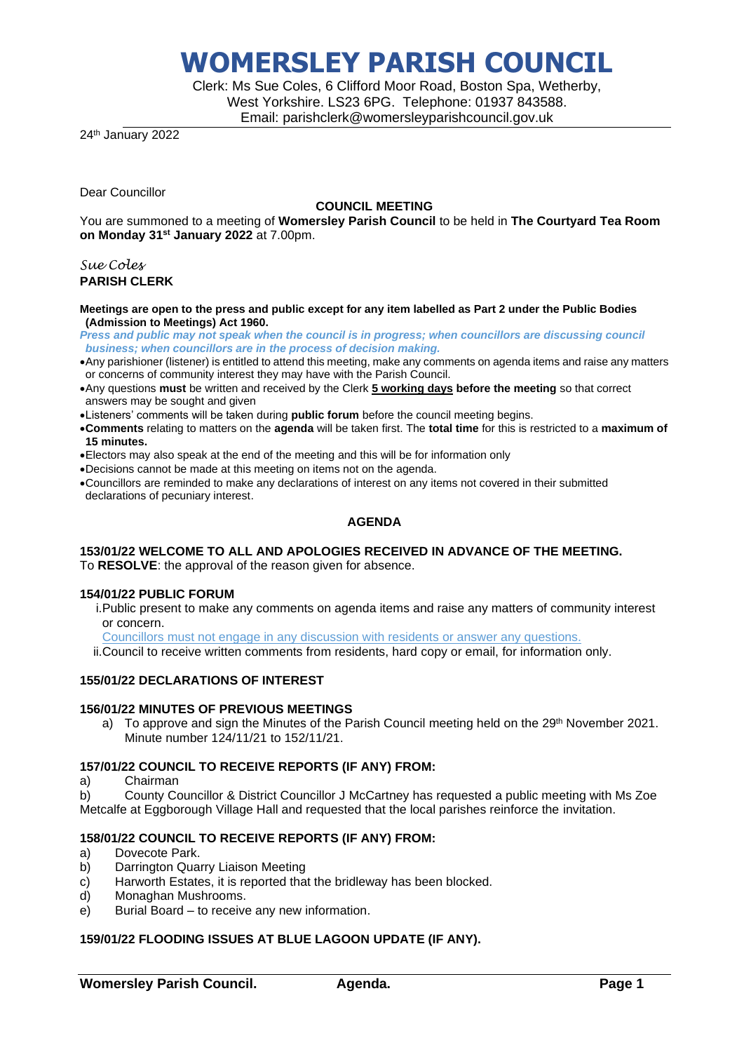Clerk: Ms Sue Coles, 6 Clifford Moor Road, Boston Spa, Wetherby, West Yorkshire. LS23 6PG. Telephone: 01937 843588. Email: parishclerk@womersleyparishcouncil.gov.uk

24<sup>th</sup> January 2022

Dear Councillor

#### **COUNCIL MEETING**

You are summoned to a meeting of **Womersley Parish Council** to be held in **The Courtyard Tea Room on Monday 31st January 2022** at 7.00pm.

*Sue Coles* **PARISH CLERK**

#### **Meetings are open to the press and public except for any item labelled as Part 2 under the Public Bodies (Admission to Meetings) Act 1960.**

*Press and public may not speak when the council is in progress; when councillors are discussing council business; when councillors are in the process of decision making.*

- •Any parishioner (listener) is entitled to attend this meeting, make any comments on agenda items and raise any matters or concerns of community interest they may have with the Parish Council.
- •Any questions **must** be written and received by the Clerk **5 working days before the meeting** so that correct answers may be sought and given
- •Listeners' comments will be taken during **public forum** before the council meeting begins.
- •**Comments** relating to matters on the **agenda** will be taken first. The **total time** for this is restricted to a **maximum of 15 minutes.**
- •Electors may also speak at the end of the meeting and this will be for information only
- •Decisions cannot be made at this meeting on items not on the agenda.
- •Councillors are reminded to make any declarations of interest on any items not covered in their submitted declarations of pecuniary interest.

## **AGENDA**

#### **153/01/22 WELCOME TO ALL AND APOLOGIES RECEIVED IN ADVANCE OF THE MEETING.** To **RESOLVE**: the approval of the reason given for absence.

#### **154/01/22 PUBLIC FORUM**

- i.Public present to make any comments on agenda items and raise any matters of community interest or concern.
- Councillors must not engage in any discussion with residents or answer any questions.

ii.Council to receive written comments from residents, hard copy or email, for information only.

## **155/01/22 DECLARATIONS OF INTEREST**

#### **156/01/22 MINUTES OF PREVIOUS MEETINGS**

a) To approve and sign the Minutes of the Parish Council meeting held on the 29<sup>th</sup> November 2021. Minute number 124/11/21 to 152/11/21.

### **157/01/22 COUNCIL TO RECEIVE REPORTS (IF ANY) FROM:**

a) Chairman

b) County Councillor & District Councillor J McCartney has requested a public meeting with Ms Zoe Metcalfe at Eggborough Village Hall and requested that the local parishes reinforce the invitation.

### **158/01/22 COUNCIL TO RECEIVE REPORTS (IF ANY) FROM:**

- a) Dovecote Park.
- b) Darrington Quarry Liaison Meeting
- c) Harworth Estates, it is reported that the bridleway has been blocked.
- d) Monaghan Mushrooms.
- e) Burial Board to receive any new information.

### **159/01/22 FLOODING ISSUES AT BLUE LAGOON UPDATE (IF ANY).**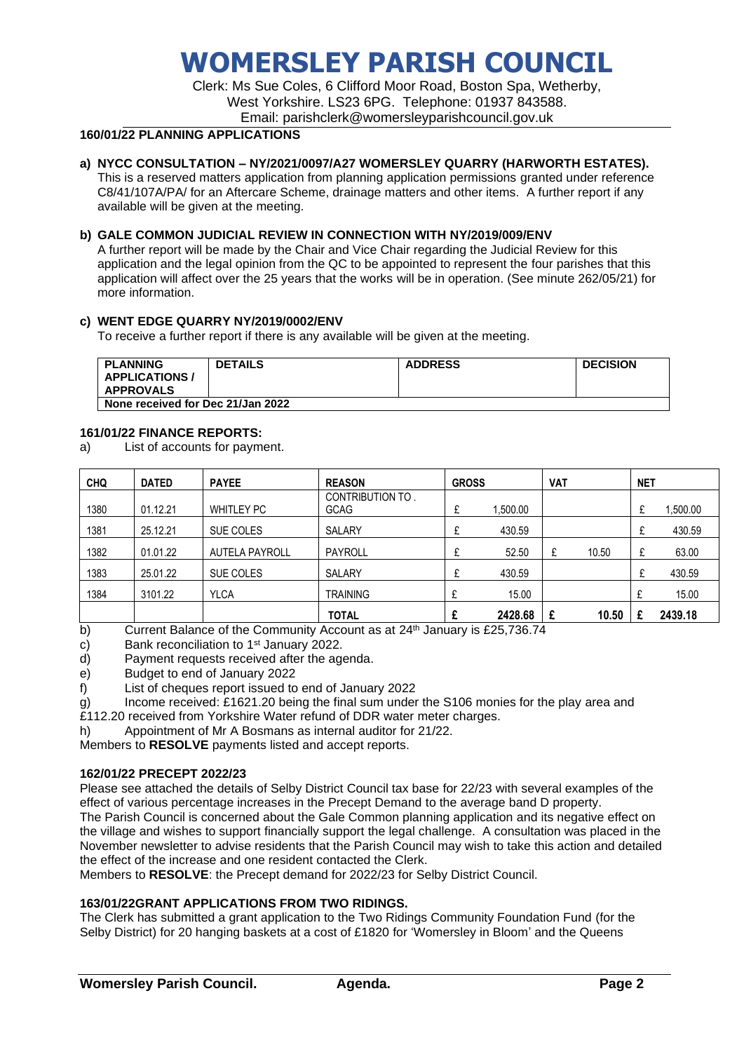Clerk: Ms Sue Coles, 6 Clifford Moor Road, Boston Spa, Wetherby, West Yorkshire. LS23 6PG. Telephone: 01937 843588. Email: parishclerk@womersleyparishcouncil.gov.uk

## **160/01/22 PLANNING APPLICATIONS**

## **a) NYCC CONSULTATION – NY/2021/0097/A27 WOMERSLEY QUARRY (HARWORTH ESTATES).**

This is a reserved matters application from planning application permissions granted under reference C8/41/107A/PA/ for an Aftercare Scheme, drainage matters and other items. A further report if any available will be given at the meeting.

#### **b) GALE COMMON JUDICIAL REVIEW IN CONNECTION WITH NY/2019/009/ENV**

A further report will be made by the Chair and Vice Chair regarding the Judicial Review for this application and the legal opinion from the QC to be appointed to represent the four parishes that this application will affect over the 25 years that the works will be in operation. (See minute 262/05/21) for more information.

#### **c) WENT EDGE QUARRY NY/2019/0002/ENV**

To receive a further report if there is any available will be given at the meeting.

| <b>PLANNING</b><br><b>APPLICATIONS /</b><br><b>APPROVALS</b> | <b>DETAILS</b> | <b>ADDRESS</b> | <b>DECISION</b> |  |  |
|--------------------------------------------------------------|----------------|----------------|-----------------|--|--|
|                                                              |                |                |                 |  |  |
| None received for Dec 21/Jan 2022                            |                |                |                 |  |  |

#### **161/01/22 FINANCE REPORTS:**

a) List of accounts for payment.

| <b>CHQ</b> | <b>DATED</b> | <b>PAYEE</b>          | <b>REASON</b>    | <b>GROSS</b> |          | <b>VAT</b> |       | <b>NET</b>   |          |
|------------|--------------|-----------------------|------------------|--------------|----------|------------|-------|--------------|----------|
| 1380       | 01.12.21     | <b>WHITLEY PC</b>     | CONTRIBUTION TO. |              |          |            |       |              |          |
|            |              |                       | <b>GCAG</b>      |              | 1,500.00 |            |       |              | 1,500.00 |
| 1381       | 25.12.21     | SUE COLES             | <b>SALARY</b>    |              | 430.59   |            |       | $\mathbf{f}$ | 430.59   |
| 1382       | 01.01.22     | <b>AUTELA PAYROLL</b> | <b>PAYROLL</b>   |              | 52.50    | £          | 10.50 | £            | 63.00    |
| 1383       | 25.01.22     | SUE COLES             | <b>SALARY</b>    |              | 430.59   |            |       |              | 430.59   |
| 1384       | 3101.22      | <b>YLCA</b>           | <b>TRAINING</b>  |              | 15.00    |            |       |              | 15.00    |
|            |              |                       | <b>TOTAL</b>     |              | 2428.68  |            | 10.50 |              | 2439.18  |

b) Current Balance of the Community Account as at  $24<sup>th</sup>$  January is £25,736.74

- c) Bank reconciliation to  $1<sup>st</sup>$  January 2022.
- d) Payment requests received after the agenda.
- e) Budget to end of January 2022
- f) List of cheques report issued to end of January 2022
- g) Income received: £1621.20 being the final sum under the S106 monies for the play area and
- £112.20 received from Yorkshire Water refund of DDR water meter charges.
- h) Appointment of Mr A Bosmans as internal auditor for 21/22.

Members to **RESOLVE** payments listed and accept reports.

#### **162/01/22 PRECEPT 2022/23**

Please see attached the details of Selby District Council tax base for 22/23 with several examples of the effect of various percentage increases in the Precept Demand to the average band D property.

The Parish Council is concerned about the Gale Common planning application and its negative effect on the village and wishes to support financially support the legal challenge. A consultation was placed in the November newsletter to advise residents that the Parish Council may wish to take this action and detailed the effect of the increase and one resident contacted the Clerk.

Members to **RESOLVE**: the Precept demand for 2022/23 for Selby District Council.

#### **163/01/22GRANT APPLICATIONS FROM TWO RIDINGS.**

The Clerk has submitted a grant application to the Two Ridings Community Foundation Fund (for the Selby District) for 20 hanging baskets at a cost of £1820 for 'Womersley in Bloom' and the Queens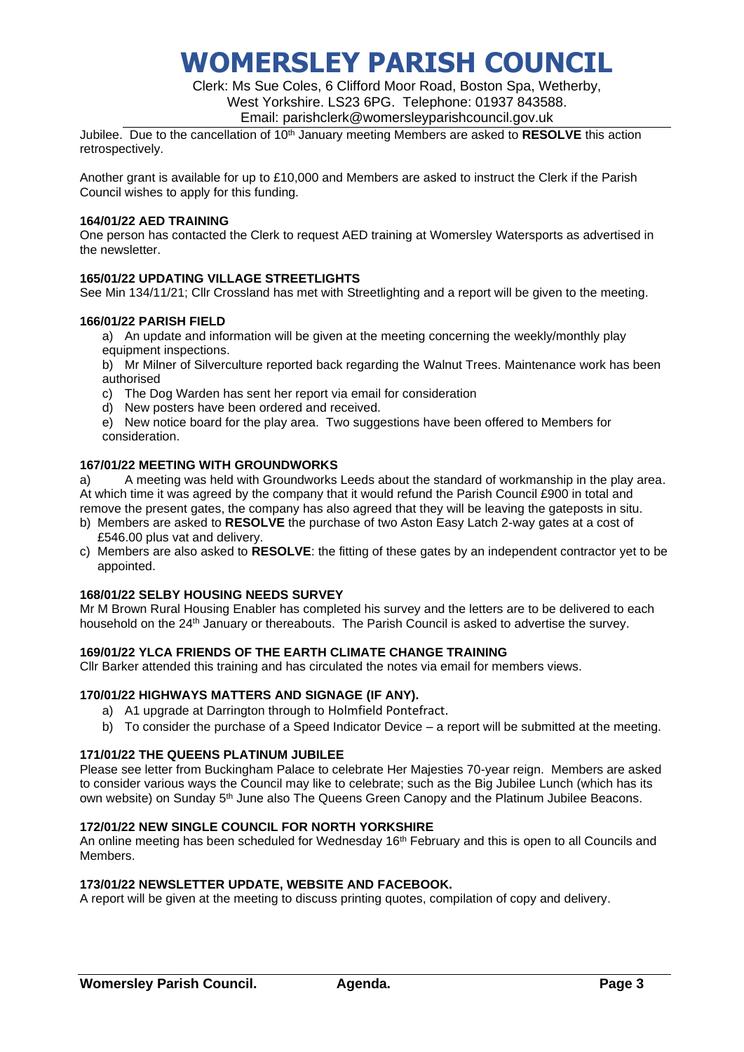Clerk: Ms Sue Coles, 6 Clifford Moor Road, Boston Spa, Wetherby, West Yorkshire. LS23 6PG. Telephone: 01937 843588.

Email: parishclerk@womersleyparishcouncil.gov.uk

Jubilee. Due to the cancellation of 10<sup>th</sup> January meeting Members are asked to **RESOLVE** this action retrospectively.

Another grant is available for up to £10,000 and Members are asked to instruct the Clerk if the Parish Council wishes to apply for this funding.

#### **164/01/22 AED TRAINING**

One person has contacted the Clerk to request AED training at Womersley Watersports as advertised in the newsletter.

### **165/01/22 UPDATING VILLAGE STREETLIGHTS**

See Min 134/11/21; Cllr Crossland has met with Streetlighting and a report will be given to the meeting.

#### **166/01/22 PARISH FIELD**

a) An update and information will be given at the meeting concerning the weekly/monthly play equipment inspections.

b) Mr Milner of Silverculture reported back regarding the Walnut Trees. Maintenance work has been authorised

- c) The Dog Warden has sent her report via email for consideration
- d) New posters have been ordered and received.

e) New notice board for the play area. Two suggestions have been offered to Members for consideration.

## **167/01/22 MEETING WITH GROUNDWORKS**

a) A meeting was held with Groundworks Leeds about the standard of workmanship in the play area. At which time it was agreed by the company that it would refund the Parish Council £900 in total and remove the present gates, the company has also agreed that they will be leaving the gateposts in situ.

- b) Members are asked to **RESOLVE** the purchase of two Aston Easy Latch 2-way gates at a cost of £546.00 plus vat and delivery.
- c) Members are also asked to **RESOLVE**: the fitting of these gates by an independent contractor yet to be appointed.

### **168/01/22 SELBY HOUSING NEEDS SURVEY**

Mr M Brown Rural Housing Enabler has completed his survey and the letters are to be delivered to each household on the 24<sup>th</sup> January or thereabouts. The Parish Council is asked to advertise the survey.

## **169/01/22 YLCA FRIENDS OF THE EARTH CLIMATE CHANGE TRAINING**

Cllr Barker attended this training and has circulated the notes via email for members views.

### **170/01/22 HIGHWAYS MATTERS AND SIGNAGE (IF ANY).**

- a) A1 upgrade at Darrington through to Holmfield Pontefract.
- b) To consider the purchase of a Speed Indicator Device a report will be submitted at the meeting.

### **171/01/22 THE QUEENS PLATINUM JUBILEE**

Please see letter from Buckingham Palace to celebrate Her Majesties 70-year reign. Members are asked to consider various ways the Council may like to celebrate; such as the Big Jubilee Lunch (which has its own website) on Sunday 5<sup>th</sup> June also The Queens Green Canopy and the Platinum Jubilee Beacons.

#### **172/01/22 NEW SINGLE COUNCIL FOR NORTH YORKSHIRE**

An online meeting has been scheduled for Wednesday 16<sup>th</sup> February and this is open to all Councils and Members.

### **173/01/22 NEWSLETTER UPDATE, WEBSITE AND FACEBOOK.**

A report will be given at the meeting to discuss printing quotes, compilation of copy and delivery.